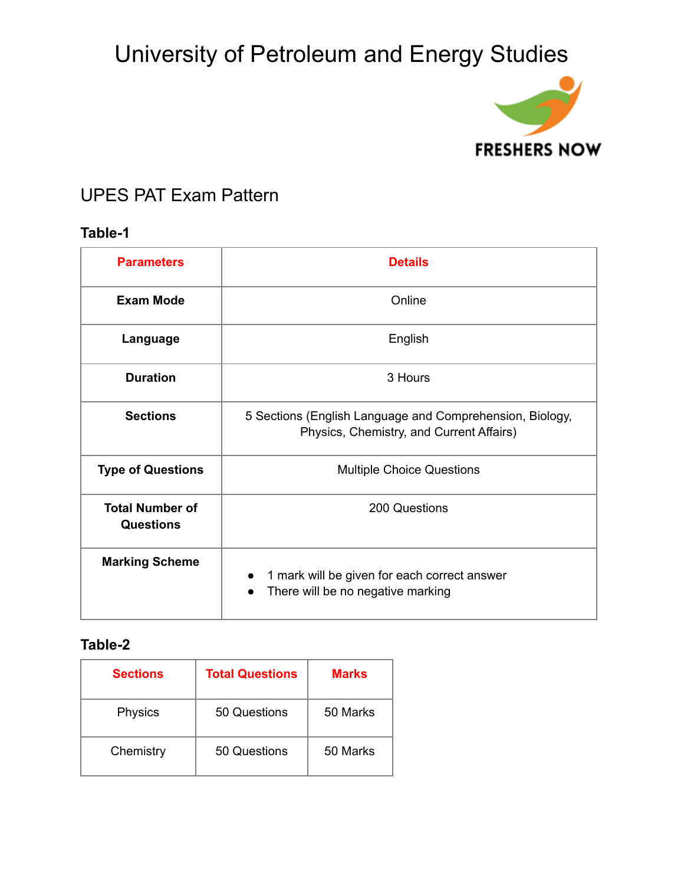

### UPES PAT Exam Pattern

### **Table-1**

| <b>Parameters</b>                          | <b>Details</b>                                                                                       |  |
|--------------------------------------------|------------------------------------------------------------------------------------------------------|--|
| <b>Exam Mode</b>                           | Online                                                                                               |  |
| Language                                   | English                                                                                              |  |
| <b>Duration</b>                            | 3 Hours                                                                                              |  |
| <b>Sections</b>                            | 5 Sections (English Language and Comprehension, Biology,<br>Physics, Chemistry, and Current Affairs) |  |
| <b>Type of Questions</b>                   | <b>Multiple Choice Questions</b>                                                                     |  |
| <b>Total Number of</b><br><b>Questions</b> | 200 Questions                                                                                        |  |
| <b>Marking Scheme</b>                      | 1 mark will be given for each correct answer<br>$\bullet$<br>There will be no negative marking<br>●  |  |

### **Table-2**

| <b>Sections</b> | <b>Total Questions</b> | <b>Marks</b> |
|-----------------|------------------------|--------------|
| <b>Physics</b>  | 50 Questions           | 50 Marks     |
| Chemistry       | 50 Questions           | 50 Marks     |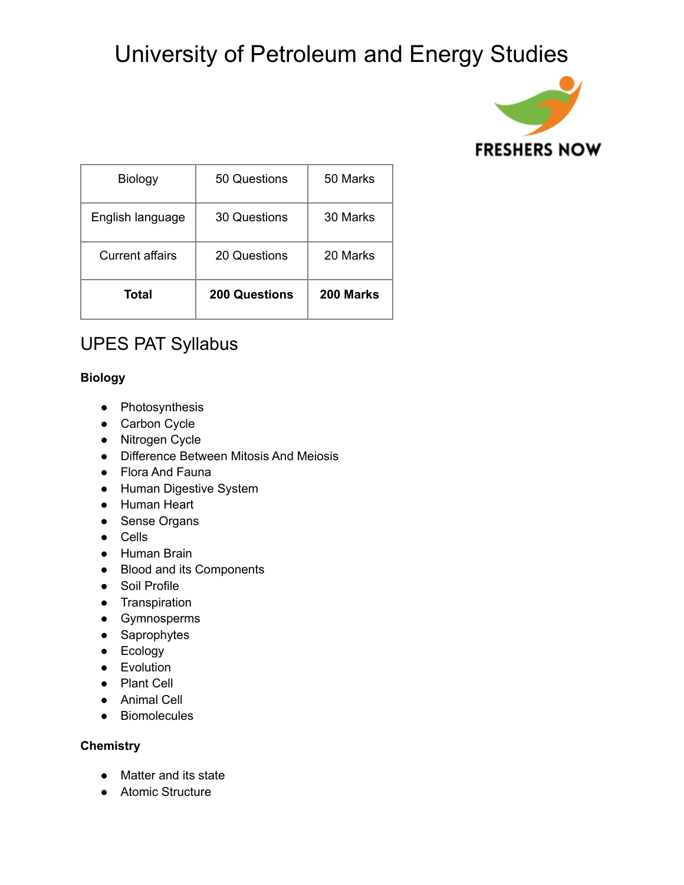

| Total                  | <b>200 Questions</b> | 200 Marks |
|------------------------|----------------------|-----------|
| <b>Current affairs</b> | 20 Questions         | 20 Marks  |
| English language       | 30 Questions         | 30 Marks  |
| <b>Biology</b>         | 50 Questions         | 50 Marks  |

### UPES PAT Syllabus

#### **Biology**

- Photosynthesis
- Carbon Cycle
- Nitrogen Cycle
- Difference Between Mitosis And Meiosis
- Flora And Fauna
- Human Digestive System
- Human Heart
- Sense Organs
- Cells
- Human Brain
- Blood and its Components
- Soil Profile
- Transpiration
- Gymnosperms
- Saprophytes
- Ecology
- Evolution
- Plant Cell
- Animal Cell
- Biomolecules

#### **Chemistry**

- Matter and its state
- Atomic Structure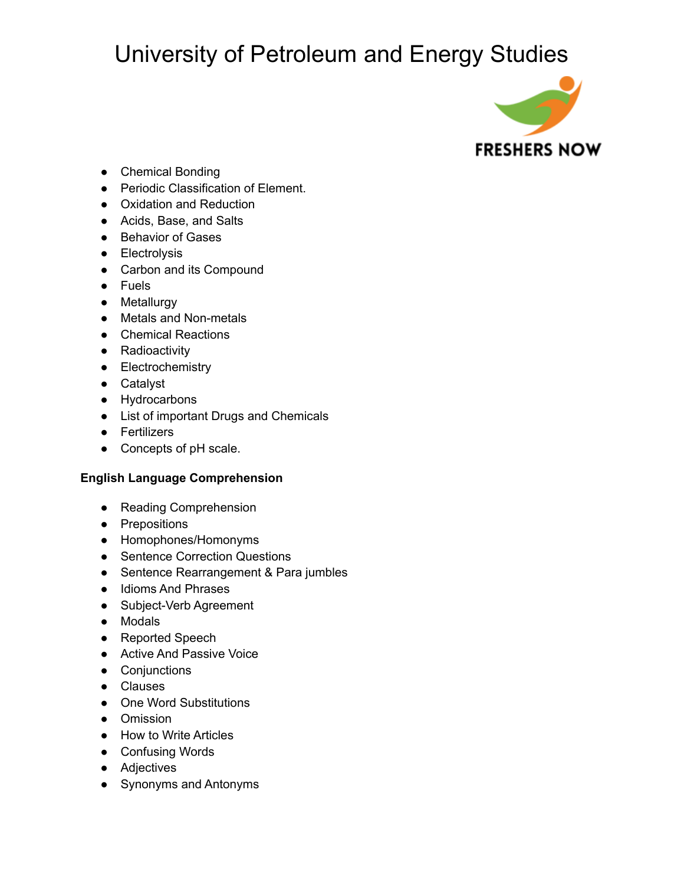

- Chemical Bonding
- Periodic Classification of Element.
- Oxidation and Reduction
- Acids, Base, and Salts
- Behavior of Gases
- Electrolysis
- Carbon and its Compound
- Fuels
- Metallurgy
- Metals and Non-metals
- Chemical Reactions
- Radioactivity
- Electrochemistry
- Catalyst
- Hydrocarbons
- List of important Drugs and Chemicals
- Fertilizers
- Concepts of pH scale.

#### **English Language Comprehension**

- Reading Comprehension
- Prepositions
- Homophones/Homonyms
- Sentence Correction Questions
- Sentence Rearrangement & Para jumbles
- Idioms And Phrases
- Subject-Verb Agreement
- Modals
- Reported Speech
- Active And Passive Voice
- Conjunctions
- Clauses
- One Word Substitutions
- Omission
- How to Write Articles
- Confusing Words
- Adjectives
- Synonyms and Antonyms